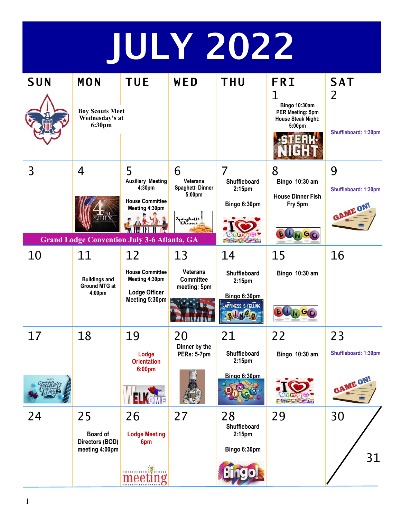## JULY 2022

| <b>SUN</b> | MON                                                                | <b>TUE</b>                                                                          | WED                                                                       | <b>THU</b>                                                                        | <b>FRI</b>                                                                    | <b>SAT</b>                            |
|------------|--------------------------------------------------------------------|-------------------------------------------------------------------------------------|---------------------------------------------------------------------------|-----------------------------------------------------------------------------------|-------------------------------------------------------------------------------|---------------------------------------|
|            | <b>Boy Scouts Meet</b><br>Wednesday's at<br>6:30pm                 |                                                                                     |                                                                           |                                                                                   | 1<br>Bingo 10:30am<br><b>PER Meeting: 5pm</b><br>House Steak Night:<br>5:00pm | 2<br>Shuffleboard: 1:30pm             |
| 3          | 4<br><b>THE</b>                                                    | 5<br><b>Auxiliary Meeting</b><br>4:30pm<br><b>House Committee</b><br>Meeting 4:30pm | 6<br><b>Veterans</b><br>Spaghetti Dinner<br>5:00pm<br>Spaghetti<br>Dinner | $\overline{7}$<br><b>Shuffleboard</b><br>2:15 <sub>pm</sub><br>Bingo 6:30pm       | 8<br>Bingo 10:30 am<br><b>House Dinner Fish</b><br>Fry 5pm<br><b>BUNGO</b>    | 9<br>Shuffleboard: 1:30pm<br>GAME ON! |
| 10         | <b>Grand Lodge Convention July 3-6 Atlanta, GA</b><br>11           | 12                                                                                  | 13                                                                        | 14                                                                                | 15                                                                            | 16                                    |
|            | <b>Buildings and</b><br><b>Ground MTG at</b><br>4:00 <sub>pm</sub> | <b>House Committee</b><br>Meeting 4:30pm<br><b>Lodge Officer</b><br>Meeting 5:30pm  | <b>Veterans</b><br><b>Committee</b><br>meeting: 5pm                       | Shuffleboard<br>2:15 <sub>pm</sub><br>Bingo 6:30pm<br>HAPPINESS IS YELLING<br>NCO | Bingo 10:30 am<br>G                                                           |                                       |
| 17         | 18                                                                 | 19<br>Lodge<br><b>Orientation</b><br>6:00pm                                         | 20<br>Dinner by the<br>PERs: 5-7pm                                        | 21<br>Shuffleboard<br>2:15 <sub>pm</sub>                                          | 22<br>Bingo 10:30 am                                                          | 23<br>Shuffleboard: 1:30pm            |
|            |                                                                    |                                                                                     |                                                                           | Bingo 6:30pm                                                                      |                                                                               | GAME ON!                              |
| 24         | 25<br><b>Board of</b><br>Directors (BOD)<br>meeting 4:00pm         | 26<br><b>Lodge Meeting</b><br>6pm                                                   | 27                                                                        | 28<br>Shuffleboard<br>2:15 <sub>pm</sub><br>Bingo 6:30pm                          | 29                                                                            | 30<br>31                              |